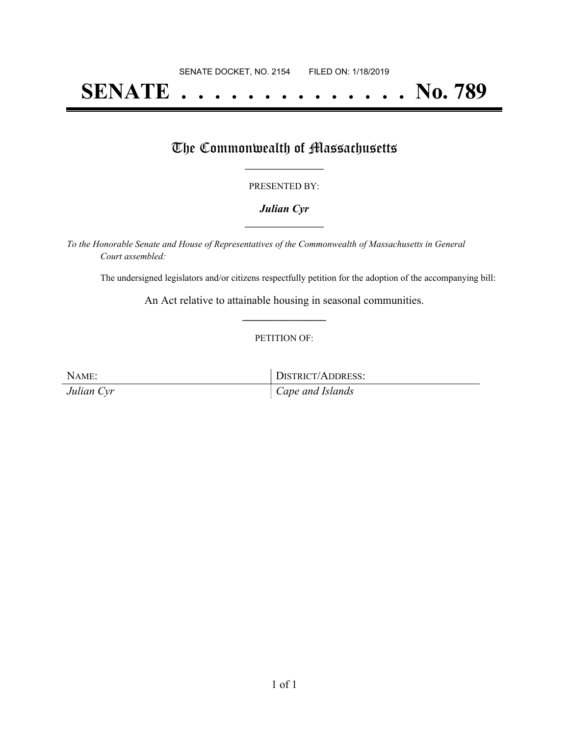# **SENATE . . . . . . . . . . . . . . No. 789**

## The Commonwealth of Massachusetts

#### PRESENTED BY:

#### *Julian Cyr* **\_\_\_\_\_\_\_\_\_\_\_\_\_\_\_\_\_**

*To the Honorable Senate and House of Representatives of the Commonwealth of Massachusetts in General Court assembled:*

The undersigned legislators and/or citizens respectfully petition for the adoption of the accompanying bill:

An Act relative to attainable housing in seasonal communities. **\_\_\_\_\_\_\_\_\_\_\_\_\_\_\_**

#### PETITION OF:

NAME: DISTRICT/ADDRESS: *Julian Cyr Cape and Islands*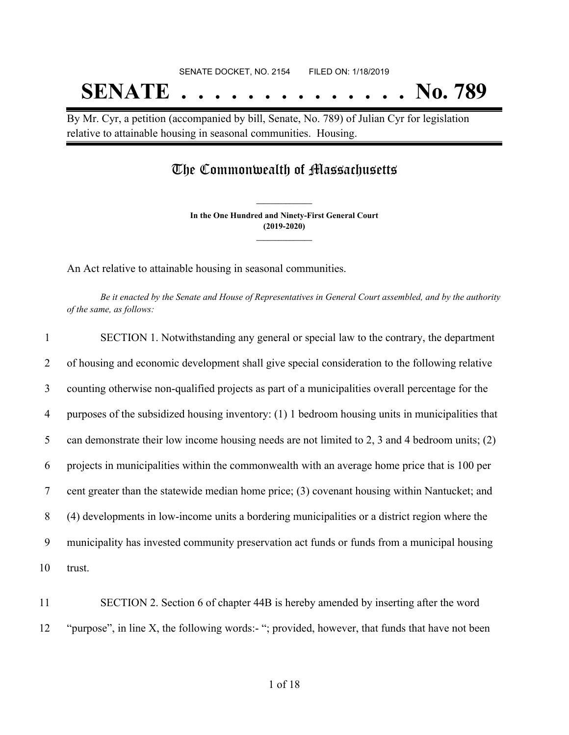# SENATE DOCKET, NO. 2154 FILED ON: 1/18/2019 **SENATE . . . . . . . . . . . . . . No. 789**

By Mr. Cyr, a petition (accompanied by bill, Senate, No. 789) of Julian Cyr for legislation relative to attainable housing in seasonal communities. Housing.

# The Commonwealth of Massachusetts

**In the One Hundred and Ninety-First General Court (2019-2020) \_\_\_\_\_\_\_\_\_\_\_\_\_\_\_**

**\_\_\_\_\_\_\_\_\_\_\_\_\_\_\_**

An Act relative to attainable housing in seasonal communities.

Be it enacted by the Senate and House of Representatives in General Court assembled, and by the authority *of the same, as follows:*

| 1      | SECTION 1. Notwithstanding any general or special law to the contrary, the department             |
|--------|---------------------------------------------------------------------------------------------------|
| 2      | of housing and economic development shall give special consideration to the following relative    |
| 3      | counting otherwise non-qualified projects as part of a municipalities overall percentage for the  |
| 4      | purposes of the subsidized housing inventory: (1) 1 bedroom housing units in municipalities that  |
| 5      | can demonstrate their low income housing needs are not limited to 2, 3 and 4 bedroom units; $(2)$ |
| 6      | projects in municipalities within the commonwealth with an average home price that is 100 per     |
| $\tau$ | cent greater than the statewide median home price; (3) covenant housing within Nantucket; and     |
| 8      | (4) developments in low-income units a bordering municipalities or a district region where the    |
| 9      | municipality has invested community preservation act funds or funds from a municipal housing      |
| 10     | trust.                                                                                            |
|        |                                                                                                   |

11 SECTION 2. Section 6 of chapter 44B is hereby amended by inserting after the word 12 "purpose", in line X, the following words:- "; provided, however, that funds that have not been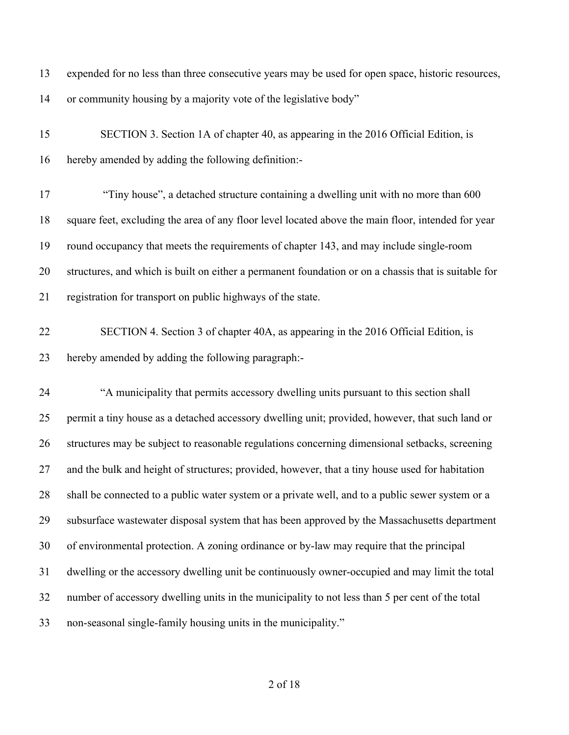| 13 | expended for no less than three consecutive years may be used for open space, historic resources,    |
|----|------------------------------------------------------------------------------------------------------|
| 14 | or community housing by a majority vote of the legislative body"                                     |
| 15 | SECTION 3. Section 1A of chapter 40, as appearing in the 2016 Official Edition, is                   |
| 16 | hereby amended by adding the following definition:-                                                  |
| 17 | "Tiny house", a detached structure containing a dwelling unit with no more than 600                  |
| 18 | square feet, excluding the area of any floor level located above the main floor, intended for year   |
| 19 | round occupancy that meets the requirements of chapter 143, and may include single-room              |
| 20 | structures, and which is built on either a permanent foundation or on a chassis that is suitable for |
| 21 | registration for transport on public highways of the state.                                          |
| 22 | SECTION 4. Section 3 of chapter 40A, as appearing in the 2016 Official Edition, is                   |
| 23 | hereby amended by adding the following paragraph:-                                                   |
| 24 | "A municipality that permits accessory dwelling units pursuant to this section shall                 |
| 25 | permit a tiny house as a detached accessory dwelling unit; provided, however, that such land or      |
| 26 | structures may be subject to reasonable regulations concerning dimensional setbacks, screening       |
| 27 | and the bulk and height of structures; provided, however, that a tiny house used for habitation      |
| 28 | shall be connected to a public water system or a private well, and to a public sewer system or a     |
| 29 | subsurface wastewater disposal system that has been approved by the Massachusetts department         |
| 30 | of environmental protection. A zoning ordinance or by-law may require that the principal             |
| 31 | dwelling or the accessory dwelling unit be continuously owner-occupied and may limit the total       |
| 32 | number of accessory dwelling units in the municipality to not less than 5 per cent of the total      |
| 33 | non-seasonal single-family housing units in the municipality."                                       |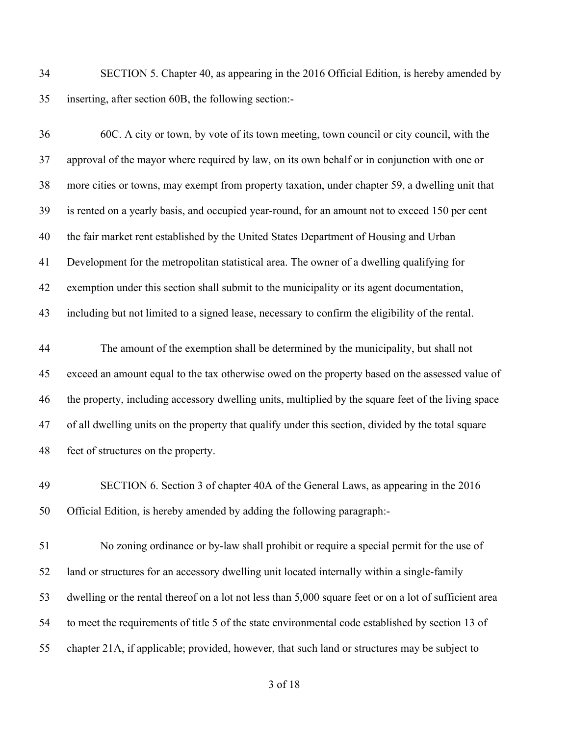SECTION 5. Chapter 40, as appearing in the 2016 Official Edition, is hereby amended by inserting, after section 60B, the following section:-

 60C. A city or town, by vote of its town meeting, town council or city council, with the approval of the mayor where required by law, on its own behalf or in conjunction with one or more cities or towns, may exempt from property taxation, under chapter 59, a dwelling unit that is rented on a yearly basis, and occupied year-round, for an amount not to exceed 150 per cent the fair market rent established by the United States Department of Housing and Urban Development for the metropolitan statistical area. The owner of a dwelling qualifying for exemption under this section shall submit to the municipality or its agent documentation, including but not limited to a signed lease, necessary to confirm the eligibility of the rental.

 The amount of the exemption shall be determined by the municipality, but shall not exceed an amount equal to the tax otherwise owed on the property based on the assessed value of the property, including accessory dwelling units, multiplied by the square feet of the living space of all dwelling units on the property that qualify under this section, divided by the total square feet of structures on the property.

 SECTION 6. Section 3 of chapter 40A of the General Laws, as appearing in the 2016 Official Edition, is hereby amended by adding the following paragraph:-

 No zoning ordinance or by-law shall prohibit or require a special permit for the use of land or structures for an accessory dwelling unit located internally within a single-family dwelling or the rental thereof on a lot not less than 5,000 square feet or on a lot of sufficient area to meet the requirements of title 5 of the state environmental code established by section 13 of chapter 21A, if applicable; provided, however, that such land or structures may be subject to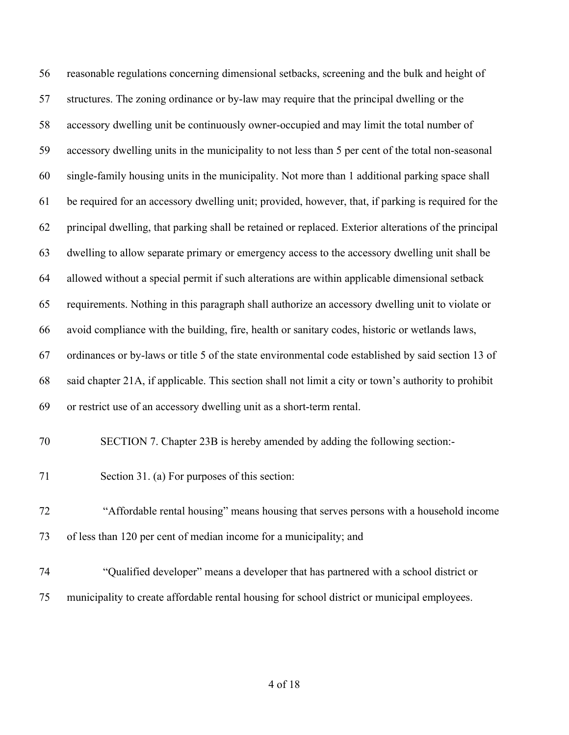reasonable regulations concerning dimensional setbacks, screening and the bulk and height of structures. The zoning ordinance or by-law may require that the principal dwelling or the accessory dwelling unit be continuously owner-occupied and may limit the total number of accessory dwelling units in the municipality to not less than 5 per cent of the total non-seasonal single-family housing units in the municipality. Not more than 1 additional parking space shall be required for an accessory dwelling unit; provided, however, that, if parking is required for the principal dwelling, that parking shall be retained or replaced. Exterior alterations of the principal dwelling to allow separate primary or emergency access to the accessory dwelling unit shall be allowed without a special permit if such alterations are within applicable dimensional setback requirements. Nothing in this paragraph shall authorize an accessory dwelling unit to violate or avoid compliance with the building, fire, health or sanitary codes, historic or wetlands laws, ordinances or by-laws or title 5 of the state environmental code established by said section 13 of said chapter 21A, if applicable. This section shall not limit a city or town's authority to prohibit or restrict use of an accessory dwelling unit as a short-term rental.

- SECTION 7. Chapter 23B is hereby amended by adding the following section:-
- Section 31. (a) For purposes of this section:

 "Affordable rental housing" means housing that serves persons with a household income of less than 120 per cent of median income for a municipality; and

 "Qualified developer" means a developer that has partnered with a school district or municipality to create affordable rental housing for school district or municipal employees.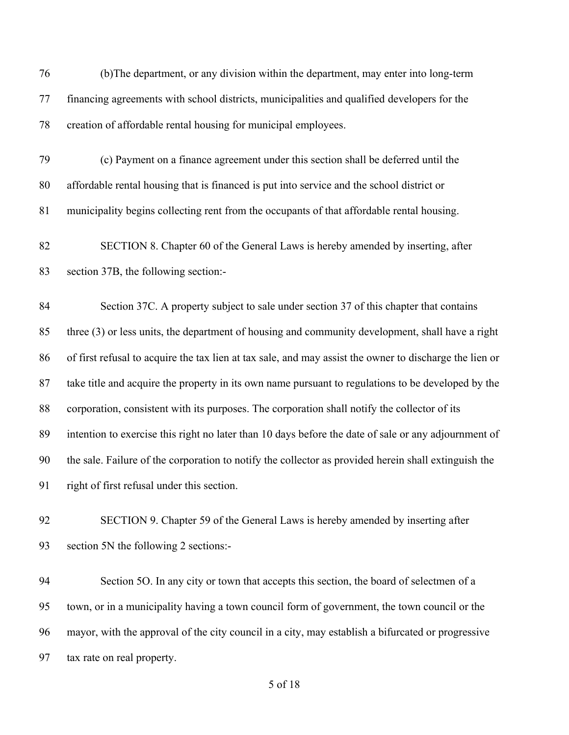(b)The department, or any division within the department, may enter into long-term financing agreements with school districts, municipalities and qualified developers for the creation of affordable rental housing for municipal employees.

- (c) Payment on a finance agreement under this section shall be deferred until the affordable rental housing that is financed is put into service and the school district or municipality begins collecting rent from the occupants of that affordable rental housing.
- SECTION 8. Chapter 60 of the General Laws is hereby amended by inserting, after section 37B, the following section:-

 Section 37C. A property subject to sale under section 37 of this chapter that contains three (3) or less units, the department of housing and community development, shall have a right of first refusal to acquire the tax lien at tax sale, and may assist the owner to discharge the lien or take title and acquire the property in its own name pursuant to regulations to be developed by the corporation, consistent with its purposes. The corporation shall notify the collector of its intention to exercise this right no later than 10 days before the date of sale or any adjournment of the sale. Failure of the corporation to notify the collector as provided herein shall extinguish the right of first refusal under this section.

 SECTION 9. Chapter 59 of the General Laws is hereby amended by inserting after section 5N the following 2 sections:-

 Section 5O. In any city or town that accepts this section, the board of selectmen of a town, or in a municipality having a town council form of government, the town council or the mayor, with the approval of the city council in a city, may establish a bifurcated or progressive tax rate on real property.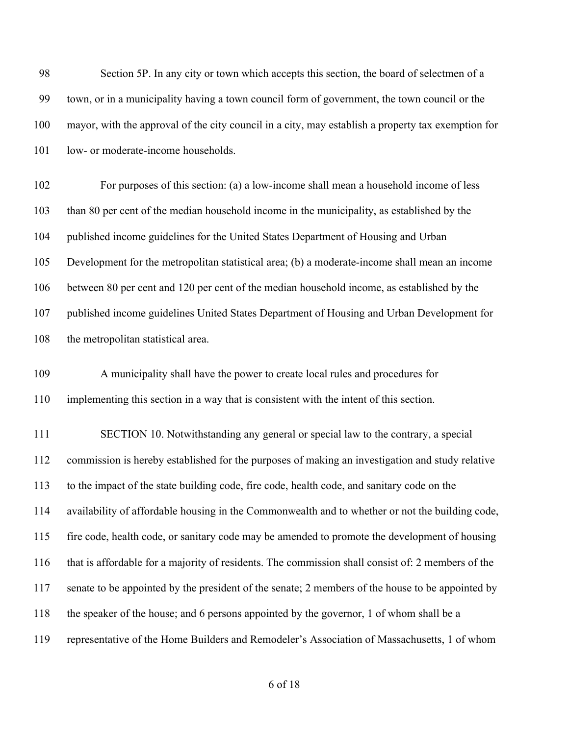| 98  | Section 5P. In any city or town which accepts this section, the board of selectmen of a            |
|-----|----------------------------------------------------------------------------------------------------|
| 99  | town, or in a municipality having a town council form of government, the town council or the       |
| 100 | mayor, with the approval of the city council in a city, may establish a property tax exemption for |
| 101 | low- or moderate-income households.                                                                |
| 102 | For purposes of this section: (a) a low-income shall mean a household income of less               |
| 103 | than 80 per cent of the median household income in the municipality, as established by the         |
| 104 | published income guidelines for the United States Department of Housing and Urban                  |
| 105 | Development for the metropolitan statistical area; (b) a moderate-income shall mean an income      |
| 106 | between 80 per cent and 120 per cent of the median household income, as established by the         |
| 107 | published income guidelines United States Department of Housing and Urban Development for          |
| 108 | the metropolitan statistical area.                                                                 |
| 109 | A municipality shall have the power to create local rules and procedures for                       |
| 110 | implementing this section in a way that is consistent with the intent of this section.             |
| 111 | SECTION 10. Notwithstanding any general or special law to the contrary, a special                  |
| 112 | commission is hereby established for the purposes of making an investigation and study relative    |
| 113 | to the impact of the state building code, fire code, health code, and sanitary code on the         |
| 114 | availability of affordable housing in the Commonwealth and to whether or not the building code,    |
| 115 | fire code, health code, or sanitary code may be amended to promote the development of housing      |
| 116 | that is affordable for a majority of residents. The commission shall consist of: 2 members of the  |
| 117 | senate to be appointed by the president of the senate; 2 members of the house to be appointed by   |
| 118 | the speaker of the house; and 6 persons appointed by the governor, 1 of whom shall be a            |
| 119 | representative of the Home Builders and Remodeler's Association of Massachusetts, 1 of whom        |
|     |                                                                                                    |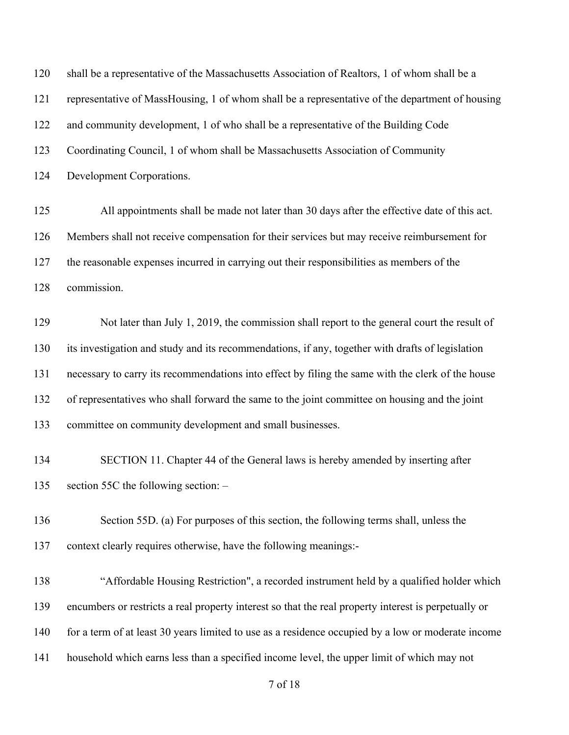of 18 shall be a representative of the Massachusetts Association of Realtors, 1 of whom shall be a representative of MassHousing, 1 of whom shall be a representative of the department of housing and community development, 1 of who shall be a representative of the Building Code Coordinating Council, 1 of whom shall be Massachusetts Association of Community Development Corporations. All appointments shall be made not later than 30 days after the effective date of this act. Members shall not receive compensation for their services but may receive reimbursement for the reasonable expenses incurred in carrying out their responsibilities as members of the commission. Not later than July 1, 2019, the commission shall report to the general court the result of its investigation and study and its recommendations, if any, together with drafts of legislation necessary to carry its recommendations into effect by filing the same with the clerk of the house of representatives who shall forward the same to the joint committee on housing and the joint committee on community development and small businesses. SECTION 11. Chapter 44 of the General laws is hereby amended by inserting after section 55C the following section: – Section 55D. (a) For purposes of this section, the following terms shall, unless the context clearly requires otherwise, have the following meanings:- "Affordable Housing Restriction", a recorded instrument held by a qualified holder which encumbers or restricts a real property interest so that the real property interest is perpetually or 140 for a term of at least 30 years limited to use as a residence occupied by a low or moderate income household which earns less than a specified income level, the upper limit of which may not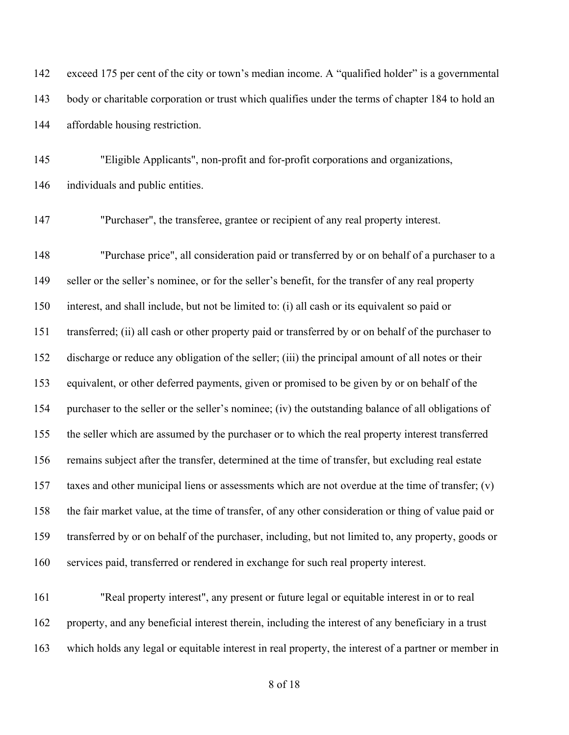exceed 175 per cent of the city or town's median income. A "qualified holder" is a governmental body or charitable corporation or trust which qualifies under the terms of chapter 184 to hold an affordable housing restriction.

 "Eligible Applicants", non-profit and for-profit corporations and organizations, individuals and public entities.

"Purchaser", the transferee, grantee or recipient of any real property interest.

 "Purchase price", all consideration paid or transferred by or on behalf of a purchaser to a seller or the seller's nominee, or for the seller's benefit, for the transfer of any real property interest, and shall include, but not be limited to: (i) all cash or its equivalent so paid or transferred; (ii) all cash or other property paid or transferred by or on behalf of the purchaser to discharge or reduce any obligation of the seller; (iii) the principal amount of all notes or their equivalent, or other deferred payments, given or promised to be given by or on behalf of the purchaser to the seller or the seller's nominee; (iv) the outstanding balance of all obligations of the seller which are assumed by the purchaser or to which the real property interest transferred remains subject after the transfer, determined at the time of transfer, but excluding real estate taxes and other municipal liens or assessments which are not overdue at the time of transfer; (v) the fair market value, at the time of transfer, of any other consideration or thing of value paid or transferred by or on behalf of the purchaser, including, but not limited to, any property, goods or services paid, transferred or rendered in exchange for such real property interest.

 "Real property interest", any present or future legal or equitable interest in or to real property, and any beneficial interest therein, including the interest of any beneficiary in a trust which holds any legal or equitable interest in real property, the interest of a partner or member in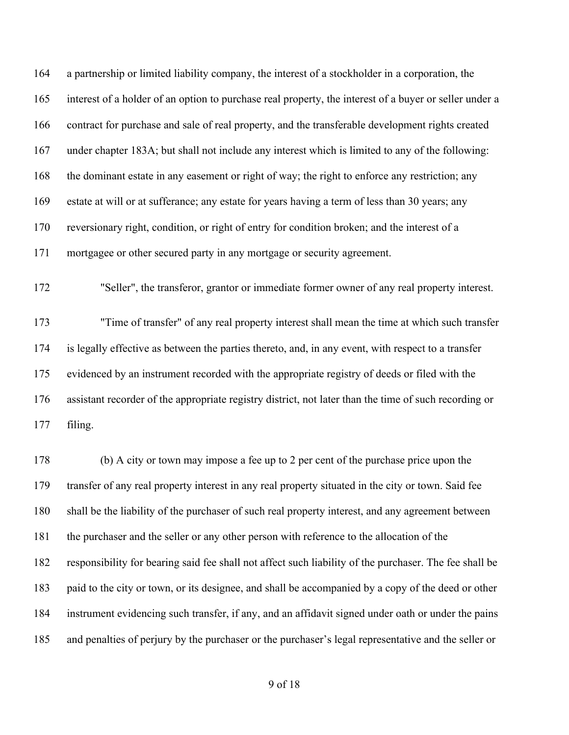a partnership or limited liability company, the interest of a stockholder in a corporation, the interest of a holder of an option to purchase real property, the interest of a buyer or seller under a contract for purchase and sale of real property, and the transferable development rights created under chapter 183A; but shall not include any interest which is limited to any of the following: the dominant estate in any easement or right of way; the right to enforce any restriction; any estate at will or at sufferance; any estate for years having a term of less than 30 years; any reversionary right, condition, or right of entry for condition broken; and the interest of a mortgagee or other secured party in any mortgage or security agreement. "Seller", the transferor, grantor or immediate former owner of any real property interest.

 "Time of transfer" of any real property interest shall mean the time at which such transfer is legally effective as between the parties thereto, and, in any event, with respect to a transfer evidenced by an instrument recorded with the appropriate registry of deeds or filed with the assistant recorder of the appropriate registry district, not later than the time of such recording or filing.

 (b) A city or town may impose a fee up to 2 per cent of the purchase price upon the transfer of any real property interest in any real property situated in the city or town. Said fee shall be the liability of the purchaser of such real property interest, and any agreement between the purchaser and the seller or any other person with reference to the allocation of the responsibility for bearing said fee shall not affect such liability of the purchaser. The fee shall be paid to the city or town, or its designee, and shall be accompanied by a copy of the deed or other instrument evidencing such transfer, if any, and an affidavit signed under oath or under the pains and penalties of perjury by the purchaser or the purchaser's legal representative and the seller or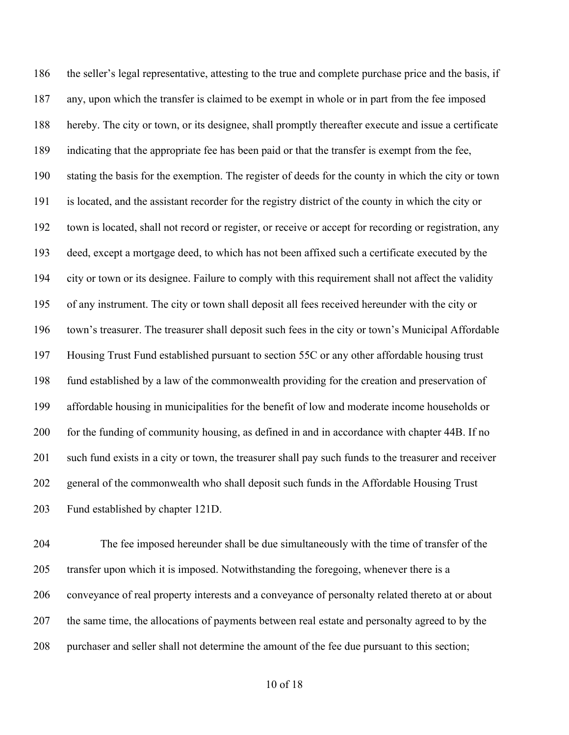186 the seller's legal representative, attesting to the true and complete purchase price and the basis, if any, upon which the transfer is claimed to be exempt in whole or in part from the fee imposed hereby. The city or town, or its designee, shall promptly thereafter execute and issue a certificate indicating that the appropriate fee has been paid or that the transfer is exempt from the fee, stating the basis for the exemption. The register of deeds for the county in which the city or town is located, and the assistant recorder for the registry district of the county in which the city or town is located, shall not record or register, or receive or accept for recording or registration, any deed, except a mortgage deed, to which has not been affixed such a certificate executed by the city or town or its designee. Failure to comply with this requirement shall not affect the validity of any instrument. The city or town shall deposit all fees received hereunder with the city or town's treasurer. The treasurer shall deposit such fees in the city or town's Municipal Affordable Housing Trust Fund established pursuant to section 55C or any other affordable housing trust fund established by a law of the commonwealth providing for the creation and preservation of affordable housing in municipalities for the benefit of low and moderate income households or for the funding of community housing, as defined in and in accordance with chapter 44B. If no such fund exists in a city or town, the treasurer shall pay such funds to the treasurer and receiver general of the commonwealth who shall deposit such funds in the Affordable Housing Trust Fund established by chapter 121D.

 The fee imposed hereunder shall be due simultaneously with the time of transfer of the transfer upon which it is imposed. Notwithstanding the foregoing, whenever there is a conveyance of real property interests and a conveyance of personalty related thereto at or about the same time, the allocations of payments between real estate and personalty agreed to by the purchaser and seller shall not determine the amount of the fee due pursuant to this section;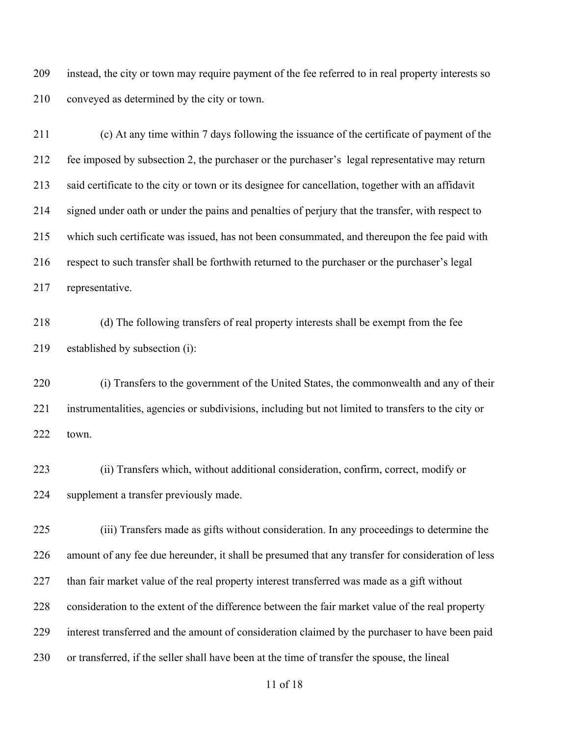instead, the city or town may require payment of the fee referred to in real property interests so conveyed as determined by the city or town.

 (c) At any time within 7 days following the issuance of the certificate of payment of the fee imposed by subsection 2, the purchaser or the purchaser's legal representative may return said certificate to the city or town or its designee for cancellation, together with an affidavit signed under oath or under the pains and penalties of perjury that the transfer, with respect to which such certificate was issued, has not been consummated, and thereupon the fee paid with respect to such transfer shall be forthwith returned to the purchaser or the purchaser's legal representative.

 (d) The following transfers of real property interests shall be exempt from the fee established by subsection (i):

 (i) Transfers to the government of the United States, the commonwealth and any of their instrumentalities, agencies or subdivisions, including but not limited to transfers to the city or town.

 (ii) Transfers which, without additional consideration, confirm, correct, modify or supplement a transfer previously made.

 (iii) Transfers made as gifts without consideration. In any proceedings to determine the amount of any fee due hereunder, it shall be presumed that any transfer for consideration of less 227 than fair market value of the real property interest transferred was made as a gift without consideration to the extent of the difference between the fair market value of the real property interest transferred and the amount of consideration claimed by the purchaser to have been paid or transferred, if the seller shall have been at the time of transfer the spouse, the lineal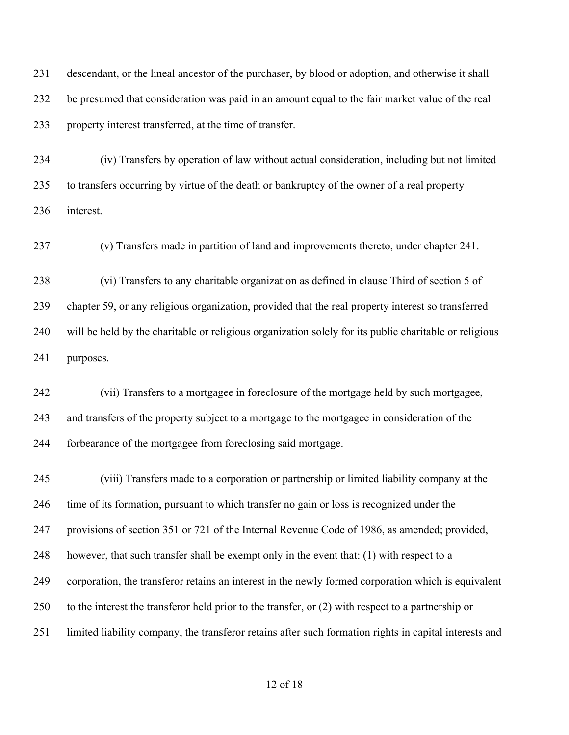descendant, or the lineal ancestor of the purchaser, by blood or adoption, and otherwise it shall be presumed that consideration was paid in an amount equal to the fair market value of the real property interest transferred, at the time of transfer.

 (iv) Transfers by operation of law without actual consideration, including but not limited to transfers occurring by virtue of the death or bankruptcy of the owner of a real property interest.

(v) Transfers made in partition of land and improvements thereto, under chapter 241.

 (vi) Transfers to any charitable organization as defined in clause Third of section 5 of chapter 59, or any religious organization, provided that the real property interest so transferred will be held by the charitable or religious organization solely for its public charitable or religious purposes.

 (vii) Transfers to a mortgagee in foreclosure of the mortgage held by such mortgagee, and transfers of the property subject to a mortgage to the mortgagee in consideration of the forbearance of the mortgagee from foreclosing said mortgage.

 (viii) Transfers made to a corporation or partnership or limited liability company at the time of its formation, pursuant to which transfer no gain or loss is recognized under the provisions of section 351 or 721 of the Internal Revenue Code of 1986, as amended; provided, however, that such transfer shall be exempt only in the event that: (1) with respect to a corporation, the transferor retains an interest in the newly formed corporation which is equivalent to the interest the transferor held prior to the transfer, or (2) with respect to a partnership or limited liability company, the transferor retains after such formation rights in capital interests and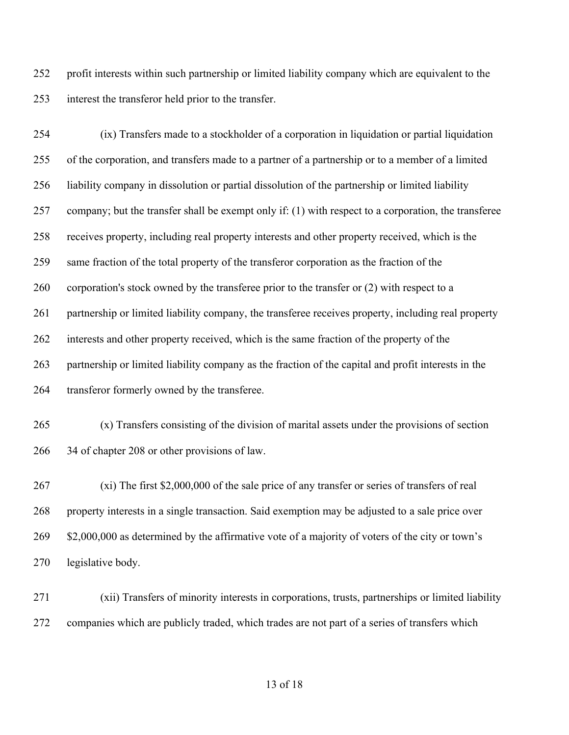profit interests within such partnership or limited liability company which are equivalent to the interest the transferor held prior to the transfer.

 (ix) Transfers made to a stockholder of a corporation in liquidation or partial liquidation of the corporation, and transfers made to a partner of a partnership or to a member of a limited liability company in dissolution or partial dissolution of the partnership or limited liability company; but the transfer shall be exempt only if: (1) with respect to a corporation, the transferee receives property, including real property interests and other property received, which is the same fraction of the total property of the transferor corporation as the fraction of the 260 corporation's stock owned by the transferee prior to the transfer or (2) with respect to a partnership or limited liability company, the transferee receives property, including real property interests and other property received, which is the same fraction of the property of the partnership or limited liability company as the fraction of the capital and profit interests in the transferor formerly owned by the transferee.

 (x) Transfers consisting of the division of marital assets under the provisions of section 34 of chapter 208 or other provisions of law.

 (xi) The first \$2,000,000 of the sale price of any transfer or series of transfers of real property interests in a single transaction. Said exemption may be adjusted to a sale price over 269 \$2,000,000 as determined by the affirmative vote of a majority of voters of the city or town's legislative body.

 (xii) Transfers of minority interests in corporations, trusts, partnerships or limited liability companies which are publicly traded, which trades are not part of a series of transfers which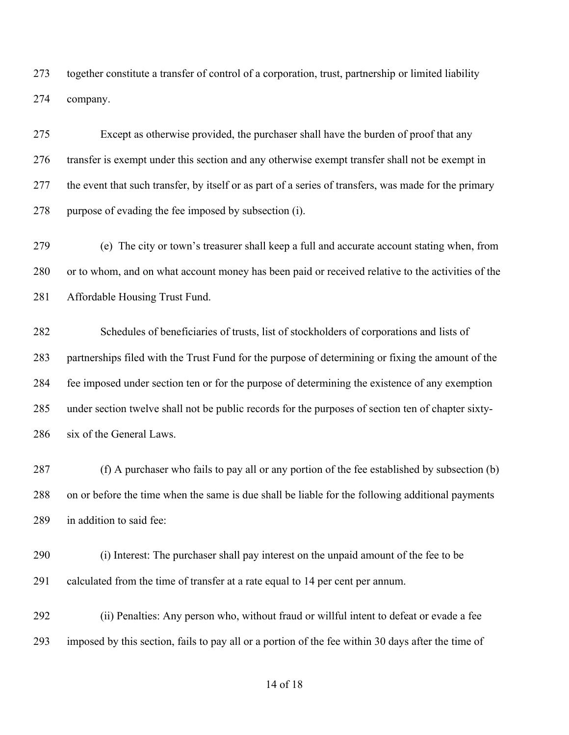together constitute a transfer of control of a corporation, trust, partnership or limited liability company.

 Except as otherwise provided, the purchaser shall have the burden of proof that any transfer is exempt under this section and any otherwise exempt transfer shall not be exempt in the event that such transfer, by itself or as part of a series of transfers, was made for the primary purpose of evading the fee imposed by subsection (i).

 (e) The city or town's treasurer shall keep a full and accurate account stating when, from or to whom, and on what account money has been paid or received relative to the activities of the Affordable Housing Trust Fund.

 Schedules of beneficiaries of trusts, list of stockholders of corporations and lists of partnerships filed with the Trust Fund for the purpose of determining or fixing the amount of the fee imposed under section ten or for the purpose of determining the existence of any exemption under section twelve shall not be public records for the purposes of section ten of chapter sixty-six of the General Laws.

 (f) A purchaser who fails to pay all or any portion of the fee established by subsection (b) on or before the time when the same is due shall be liable for the following additional payments in addition to said fee:

 (i) Interest: The purchaser shall pay interest on the unpaid amount of the fee to be calculated from the time of transfer at a rate equal to 14 per cent per annum.

 (ii) Penalties: Any person who, without fraud or willful intent to defeat or evade a fee imposed by this section, fails to pay all or a portion of the fee within 30 days after the time of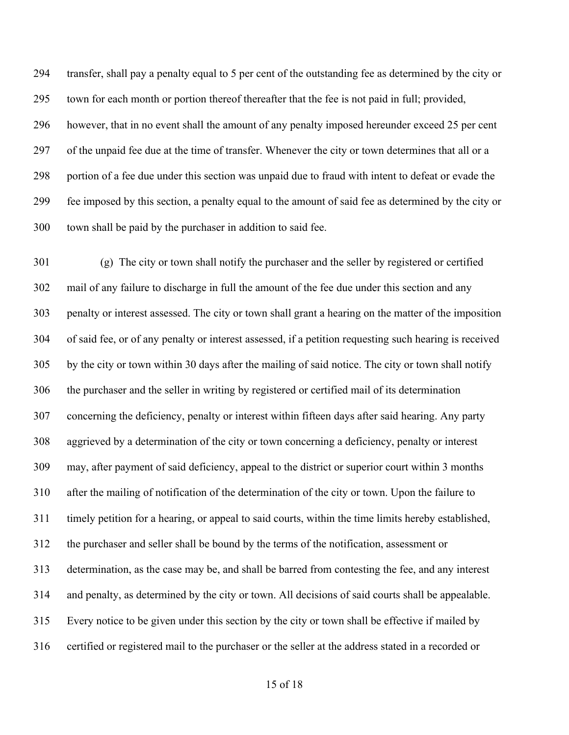transfer, shall pay a penalty equal to 5 per cent of the outstanding fee as determined by the city or town for each month or portion thereof thereafter that the fee is not paid in full; provided, however, that in no event shall the amount of any penalty imposed hereunder exceed 25 per cent of the unpaid fee due at the time of transfer. Whenever the city or town determines that all or a portion of a fee due under this section was unpaid due to fraud with intent to defeat or evade the fee imposed by this section, a penalty equal to the amount of said fee as determined by the city or town shall be paid by the purchaser in addition to said fee.

 (g) The city or town shall notify the purchaser and the seller by registered or certified mail of any failure to discharge in full the amount of the fee due under this section and any penalty or interest assessed. The city or town shall grant a hearing on the matter of the imposition of said fee, or of any penalty or interest assessed, if a petition requesting such hearing is received by the city or town within 30 days after the mailing of said notice. The city or town shall notify the purchaser and the seller in writing by registered or certified mail of its determination concerning the deficiency, penalty or interest within fifteen days after said hearing. Any party aggrieved by a determination of the city or town concerning a deficiency, penalty or interest may, after payment of said deficiency, appeal to the district or superior court within 3 months after the mailing of notification of the determination of the city or town. Upon the failure to timely petition for a hearing, or appeal to said courts, within the time limits hereby established, the purchaser and seller shall be bound by the terms of the notification, assessment or determination, as the case may be, and shall be barred from contesting the fee, and any interest and penalty, as determined by the city or town. All decisions of said courts shall be appealable. Every notice to be given under this section by the city or town shall be effective if mailed by certified or registered mail to the purchaser or the seller at the address stated in a recorded or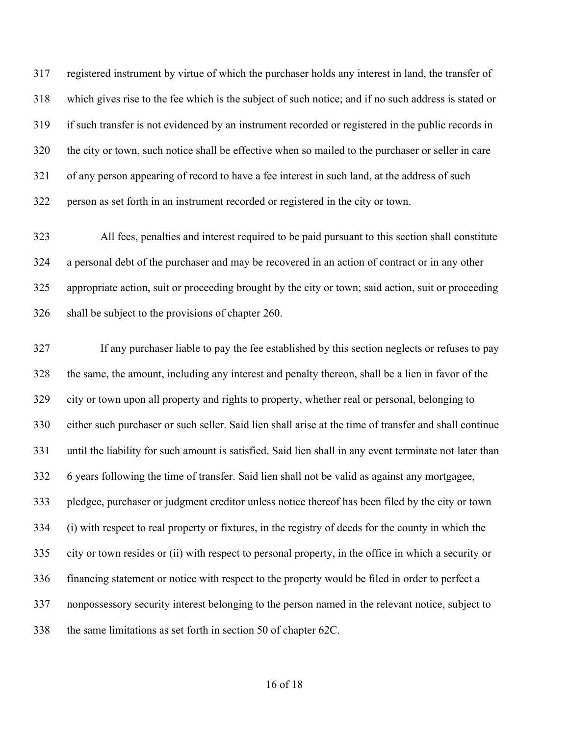registered instrument by virtue of which the purchaser holds any interest in land, the transfer of which gives rise to the fee which is the subject of such notice; and if no such address is stated or if such transfer is not evidenced by an instrument recorded or registered in the public records in the city or town, such notice shall be effective when so mailed to the purchaser or seller in care of any person appearing of record to have a fee interest in such land, at the address of such person as set forth in an instrument recorded or registered in the city or town.

 All fees, penalties and interest required to be paid pursuant to this section shall constitute a personal debt of the purchaser and may be recovered in an action of contract or in any other appropriate action, suit or proceeding brought by the city or town; said action, suit or proceeding shall be subject to the provisions of chapter 260.

 If any purchaser liable to pay the fee established by this section neglects or refuses to pay the same, the amount, including any interest and penalty thereon, shall be a lien in favor of the city or town upon all property and rights to property, whether real or personal, belonging to either such purchaser or such seller. Said lien shall arise at the time of transfer and shall continue until the liability for such amount is satisfied. Said lien shall in any event terminate not later than 6 years following the time of transfer. Said lien shall not be valid as against any mortgagee, pledgee, purchaser or judgment creditor unless notice thereof has been filed by the city or town (i) with respect to real property or fixtures, in the registry of deeds for the county in which the city or town resides or (ii) with respect to personal property, in the office in which a security or financing statement or notice with respect to the property would be filed in order to perfect a nonpossessory security interest belonging to the person named in the relevant notice, subject to the same limitations as set forth in section 50 of chapter 62C.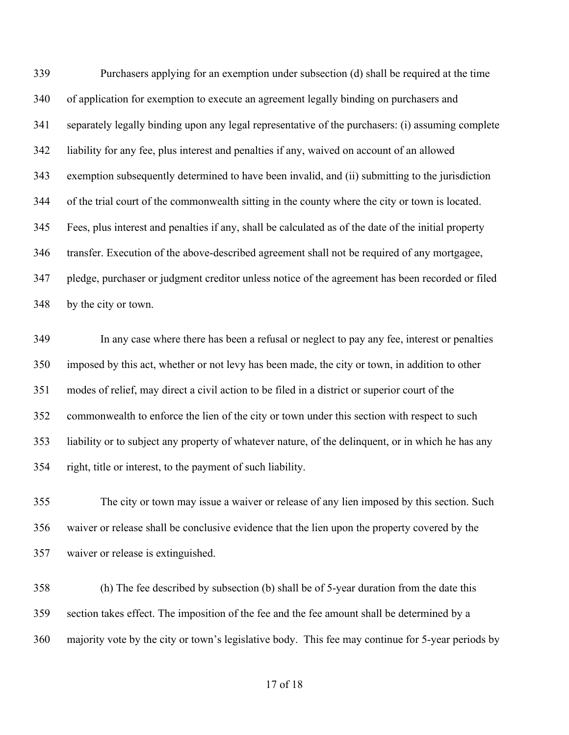Purchasers applying for an exemption under subsection (d) shall be required at the time of application for exemption to execute an agreement legally binding on purchasers and separately legally binding upon any legal representative of the purchasers: (i) assuming complete liability for any fee, plus interest and penalties if any, waived on account of an allowed exemption subsequently determined to have been invalid, and (ii) submitting to the jurisdiction of the trial court of the commonwealth sitting in the county where the city or town is located. Fees, plus interest and penalties if any, shall be calculated as of the date of the initial property transfer. Execution of the above-described agreement shall not be required of any mortgagee, pledge, purchaser or judgment creditor unless notice of the agreement has been recorded or filed by the city or town.

 In any case where there has been a refusal or neglect to pay any fee, interest or penalties imposed by this act, whether or not levy has been made, the city or town, in addition to other modes of relief, may direct a civil action to be filed in a district or superior court of the commonwealth to enforce the lien of the city or town under this section with respect to such liability or to subject any property of whatever nature, of the delinquent, or in which he has any right, title or interest, to the payment of such liability.

 The city or town may issue a waiver or release of any lien imposed by this section. Such waiver or release shall be conclusive evidence that the lien upon the property covered by the waiver or release is extinguished.

 (h) The fee described by subsection (b) shall be of 5-year duration from the date this section takes effect. The imposition of the fee and the fee amount shall be determined by a majority vote by the city or town's legislative body. This fee may continue for 5-year periods by